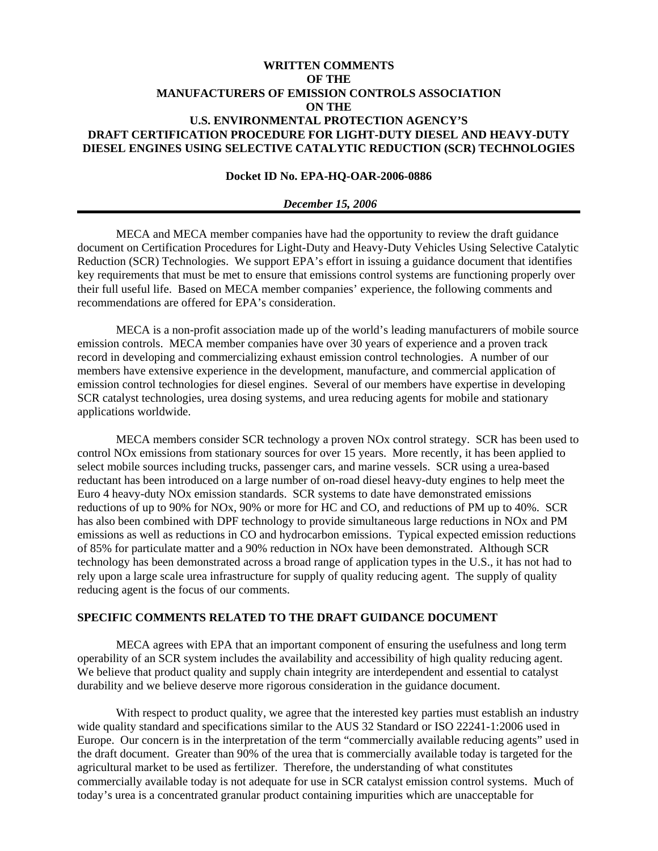# **WRITTEN COMMENTS OF THE MANUFACTURERS OF EMISSION CONTROLS ASSOCIATION ON THE U.S. ENVIRONMENTAL PROTECTION AGENCY'S DRAFT CERTIFICATION PROCEDURE FOR LIGHT-DUTY DIESEL AND HEAVY-DUTY DIESEL ENGINES USING SELECTIVE CATALYTIC REDUCTION (SCR) TECHNOLOGIES**

### **Docket ID No. EPA-HQ-OAR-2006-0886**

#### *December 15, 2006*

MECA and MECA member companies have had the opportunity to review the draft guidance document on Certification Procedures for Light-Duty and Heavy-Duty Vehicles Using Selective Catalytic Reduction (SCR) Technologies. We support EPA's effort in issuing a guidance document that identifies key requirements that must be met to ensure that emissions control systems are functioning properly over their full useful life. Based on MECA member companies' experience, the following comments and recommendations are offered for EPA's consideration.

MECA is a non-profit association made up of the world's leading manufacturers of mobile source emission controls. MECA member companies have over 30 years of experience and a proven track record in developing and commercializing exhaust emission control technologies. A number of our members have extensive experience in the development, manufacture, and commercial application of emission control technologies for diesel engines. Several of our members have expertise in developing SCR catalyst technologies, urea dosing systems, and urea reducing agents for mobile and stationary applications worldwide.

MECA members consider SCR technology a proven NOx control strategy. SCR has been used to control NOx emissions from stationary sources for over 15 years. More recently, it has been applied to select mobile sources including trucks, passenger cars, and marine vessels. SCR using a urea-based reductant has been introduced on a large number of on-road diesel heavy-duty engines to help meet the Euro 4 heavy-duty NOx emission standards. SCR systems to date have demonstrated emissions reductions of up to 90% for NOx, 90% or more for HC and CO, and reductions of PM up to 40%. SCR has also been combined with DPF technology to provide simultaneous large reductions in NOx and PM emissions as well as reductions in CO and hydrocarbon emissions. Typical expected emission reductions of 85% for particulate matter and a 90% reduction in NOx have been demonstrated. Although SCR technology has been demonstrated across a broad range of application types in the U.S., it has not had to rely upon a large scale urea infrastructure for supply of quality reducing agent. The supply of quality reducing agent is the focus of our comments.

### **SPECIFIC COMMENTS RELATED TO THE DRAFT GUIDANCE DOCUMENT**

MECA agrees with EPA that an important component of ensuring the usefulness and long term operability of an SCR system includes the availability and accessibility of high quality reducing agent. We believe that product quality and supply chain integrity are interdependent and essential to catalyst durability and we believe deserve more rigorous consideration in the guidance document.

With respect to product quality, we agree that the interested key parties must establish an industry wide quality standard and specifications similar to the AUS 32 Standard or ISO 22241-1:2006 used in Europe. Our concern is in the interpretation of the term "commercially available reducing agents" used in the draft document. Greater than 90% of the urea that is commercially available today is targeted for the agricultural market to be used as fertilizer. Therefore, the understanding of what constitutes commercially available today is not adequate for use in SCR catalyst emission control systems. Much of today's urea is a concentrated granular product containing impurities which are unacceptable for